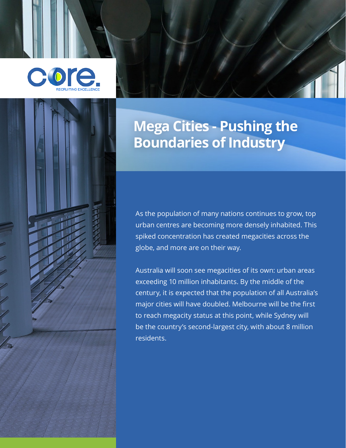



# **Mega Cities - Pushing the Boundaries of Industry**

As the population of many nations continues to grow, top urban centres are becoming more densely inhabited. This spiked concentration has created megacities across the globe, and more are on their way.

Australia will soon see megacities of its own: urban areas exceeding 10 million inhabitants. By the middle of the century, it is expected that the population of all Australia's major cities will have doubled. Melbourne will be the first to reach megacity status at this point, while Sydney will be the country's second-largest city, with about 8 million residents.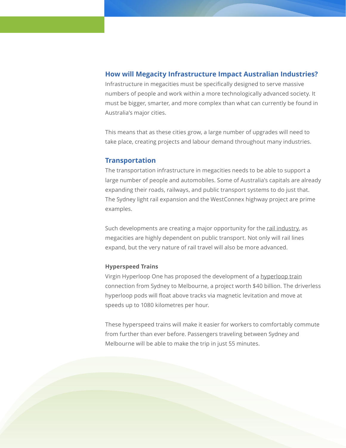## **How will Megacity Infrastructure Impact Australian Industries?**

Infrastructure in megacities must be specifically designed to serve massive numbers of people and work within a more technologically advanced society. It must be bigger, smarter, and more complex than what can currently be found in Australia's major cities.

This means that as these cities grow, a large number of upgrades will need to take place, creating projects and labour demand throughout many industries.

## **Transportation**

The transportation infrastructure in megacities needs to be able to support a large number of people and automobiles. Some of Australia's capitals are already expanding their roads, railways, and public transport systems to do just that. The Sydney light rail expansion and the WestConnex highway project are prime examples.

Such developments are creating a major opportunity for the [rail industry,](https://www.arup.com/perspectives/publications/research/section/future-of-rail-2050) as megacities are highly dependent on public transport. Not only will rail lines expand, but the very nature of rail travel will also be more advanced.

#### **Hyperspeed Trains**

Virgin Hyperloop One has proposed the development of a [hyperloop train](https://blog.iseekplant.com.au/blog/hyperloop-australia-2021) connection from Sydney to Melbourne, a project worth \$40 billion. The driverless hyperloop pods will float above tracks via magnetic levitation and move at speeds up to 1080 kilometres per hour.

These hyperspeed trains will make it easier for workers to comfortably commute from further than ever before. Passengers traveling between Sydney and Melbourne will be able to make the trip in just 55 minutes.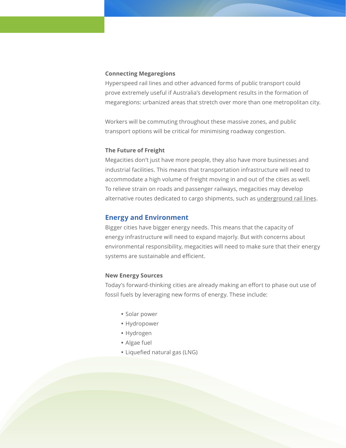#### **Connecting Megaregions**

Hyperspeed rail lines and other advanced forms of public transport could prove extremely useful if Australia's development results in the formation of megaregions: urbanized areas that stretch over more than one metropolitan city.

Workers will be commuting throughout these massive zones, and public transport options will be critical for minimising roadway congestion.

## **The Future of Freight**

Megacities don't just have more people, they also have more businesses and industrial facilities. This means that transportation infrastructure will need to accommodate a high volume of freight moving in and out of the cities as well. To relieve strain on roads and passenger railways, megacities may develop alternative routes dedicated to cargo shipments, such as [underground rail lines.](http://www.cargocap.com/)

## **Energy and Environment**

Bigger cities have bigger energy needs. This means that the capacity of energy infrastructure will need to expand majorly. But with concerns about environmental responsibility, megacities will need to make sure that their energy systems are sustainable and efficient.

#### **New Energy Sources**

Today's forward-thinking cities are already making an effort to phase out use of fossil fuels by leveraging new forms of energy. These include:

- **•** Solar power
- **•** Hydropower
- **•** Hydrogen
- **•** Algae fuel
- **•** Liquefied natural gas (LNG)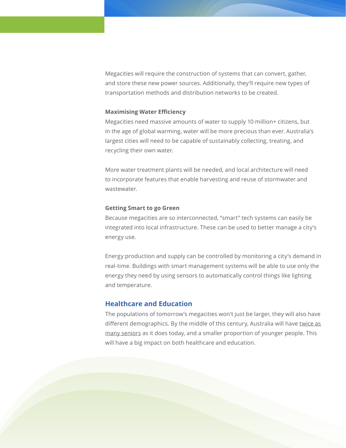Megacities will require the construction of systems that can convert, gather, and store these new power sources. Additionally, they'll require new types of transportation methods and distribution networks to be created.

#### **Maximising Water Efficiency**

Megacities need massive amounts of water to supply 10 million+ citizens, but in the age of global warming, water will be more precious than ever. Australia's largest cities will need to be capable of sustainably collecting, treating, and recycling their own water.

More water treatment plants will be needed, and local architecture will need to incorporate features that enable harvesting and reuse of stormwater and wastewater.

## **Getting Smart to go Green**

Because megacities are so interconnected, "smart" tech systems can easily be integrated into local infrastructure. These can be used to better manage a city's energy use.

Energy production and supply can be controlled by monitoring a city's demand in real-time. Buildings with smart management systems will be able to use only the energy they need by using sensors to automatically control things like lighting and temperature.

## **Healthcare and Education**

The populations of tomorrow's megacities won't just be larger, they will also have different demographics. By the middle of this century, Australia will have twice as [many seniors](http://archive.treasury.gov.au/igr/igr2010/Overview/pdf/IGR_2010_Overview.pdf) as it does today, and a smaller proportion of younger people. This will have a big impact on both healthcare and education.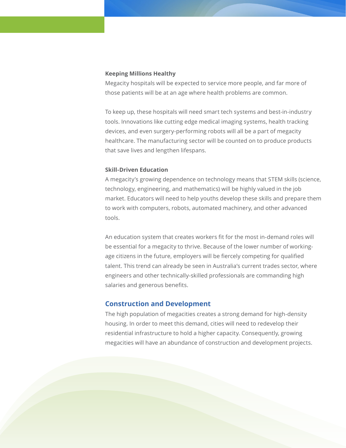#### **Keeping Millions Healthy**

Megacity hospitals will be expected to service more people, and far more of those patients will be at an age where health problems are common.

To keep up, these hospitals will need smart tech systems and best-in-industry tools. Innovations like cutting edge medical imaging systems, health tracking devices, and even surgery-performing robots will all be a part of megacity healthcare. The manufacturing sector will be counted on to produce products that save lives and lengthen lifespans.

## **Skill-Driven Education**

A megacity's growing dependence on technology means that STEM skills (science, technology, engineering, and mathematics) will be highly valued in the job market. Educators will need to help youths develop these skills and prepare them to work with computers, robots, automated machinery, and other advanced tools.

An education system that creates workers fit for the most in-demand roles will be essential for a megacity to thrive. Because of the lower number of workingage citizens in the future, employers will be fiercely competing for qualified talent. This trend can already be seen in Australia's current trades sector, where engineers and other technically-skilled professionals are commanding high salaries and generous benefits.

#### **Construction and Development**

The high population of megacities creates a strong demand for high-density housing. In order to meet this demand, cities will need to redevelop their residential infrastructure to hold a higher capacity. Consequently, growing megacities will have an abundance of construction and development projects.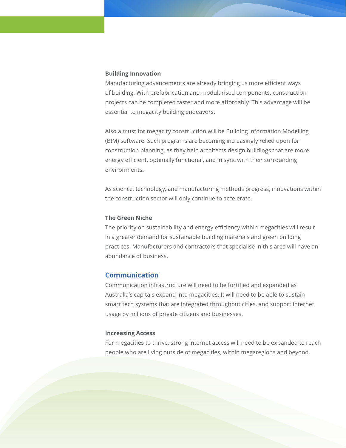#### **Building Innovation**

Manufacturing advancements are already bringing us more efficient ways of building. With prefabrication and modularised components, construction projects can be completed faster and more affordably. This advantage will be essential to megacity building endeavors.

Also a must for megacity construction will be Building Information Modelling (BIM) software. Such programs are becoming increasingly relied upon for construction planning, as they help architects design buildings that are more energy efficient, optimally functional, and in sync with their surrounding environments.

As science, technology, and manufacturing methods progress, innovations within the construction sector will only continue to accelerate.

## **The Green Niche**

The priority on sustainability and energy efficiency within megacities will result in a greater demand for sustainable building materials and green building practices. Manufacturers and contractors that specialise in this area will have an abundance of business.

## **Communication**

Communication infrastructure will need to be fortified and expanded as Australia's capitals expand into megacities. It will need to be able to sustain smart tech systems that are integrated throughout cities, and support internet usage by millions of private citizens and businesses.

#### **Increasing Access**

For megacities to thrive, strong internet access will need to be expanded to reach people who are living outside of megacities, within megaregions and beyond.